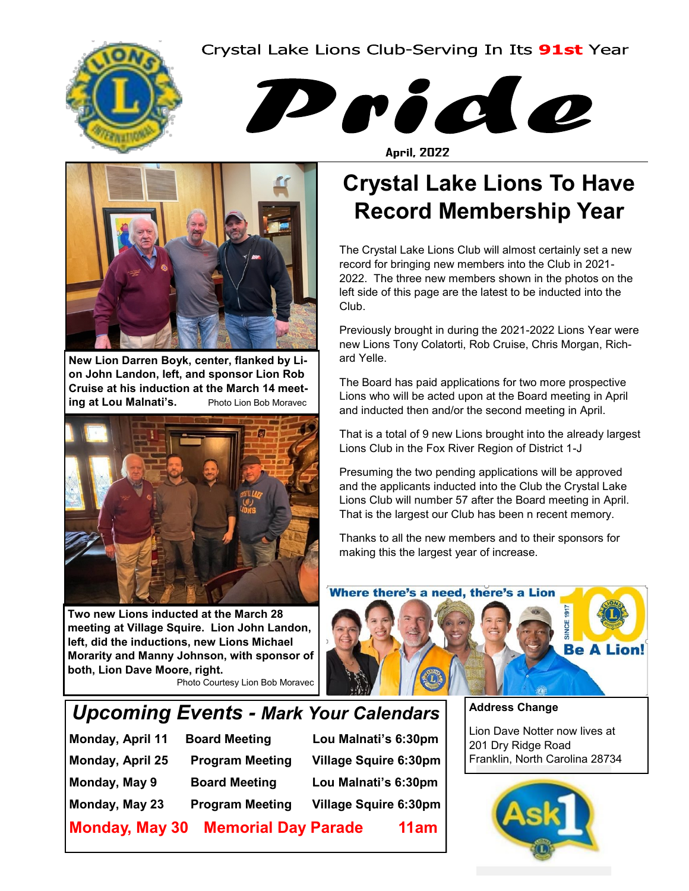#### Crystal Lake Lions Club-Serving In Its 91st Year





**April, 2022** 



**New Lion Darren Boyk, center, flanked by Lion John Landon, left, and sponsor Lion Rob Cruise at his induction at the March 14 meeting at Lou Malnati's.** Photo Lion Bob Moravec



**Two new Lions inducted at the March 28 meeting at Village Squire. Lion John Landon, left, did the inductions, new Lions Michael Morarity and Manny Johnson, with sponsor of both, Lion Dave Moore, right.** 

Photo Courtesy Lion Bob Moravec

# **Crystal Lake Lions To Have Record Membership Year**

The Crystal Lake Lions Club will almost certainly set a new record for bringing new members into the Club in 2021- 2022. The three new members shown in the photos on the left side of this page are the latest to be inducted into the Club.

Previously brought in during the 2021-2022 Lions Year were new Lions Tony Colatorti, Rob Cruise, Chris Morgan, Richard Yelle.

The Board has paid applications for two more prospective Lions who will be acted upon at the Board meeting in April and inducted then and/or the second meeting in April.

That is a total of 9 new Lions brought into the already largest Lions Club in the Fox River Region of District 1-J

Presuming the two pending applications will be approved and the applicants inducted into the Club the Crystal Lake Lions Club will number 57 after the Board meeting in April. That is the largest our Club has been n recent memory.

Thanks to all the new members and to their sponsors for making this the largest year of increase.



## *Upcoming Events - Mark Your Calendars*

**Monday, April 11 Board Meeting Lou Malnati's 6:30pm Monday, April 25 Program Meeting Village Squire 6:30pm Monday, May 9 Board Meeting Lou Malnati's 6:30pm Monday, May 23 Program Meeting Village Squire 6:30pm**

**Monday, May 30 Memorial Day Parade 11am**

**Address Change**

Lion Dave Notter now lives at 201 Dry Ridge Road Franklin, North Carolina 28734

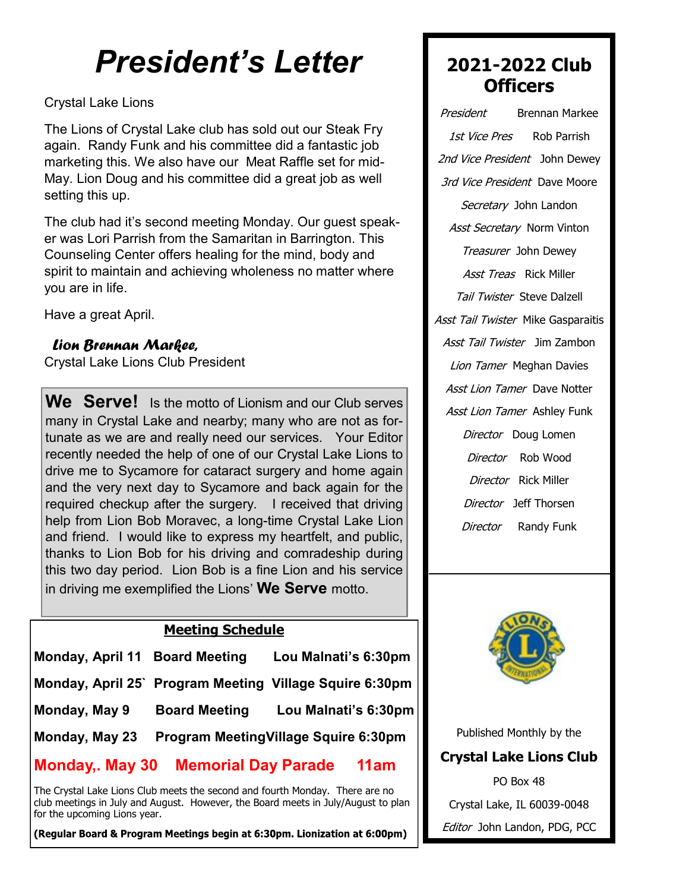# *President's Letter*

#### Crystal Lake Lions

The Lions of Crystal Lake club has sold out our Steak Fry again. Randy Funk and his committee did a fantastic job marketing this. We also have our Meat Raffle set for mid-May. Lion Doug and his committee did a great job as well setting this up.

The club had it's second meeting Monday. Our guest speaker was Lori Parrish from the Samaritan in Barrington. This Counseling Center offers healing for the mind, body and spirit to maintain and achieving wholeness no matter where you are in life.

Have a great April.

#### *Lion Brennan Markee,*

Crystal Lake Lions Club President

**We Serve!** Is the motto of Lionism and our Club serves many in Crystal Lake and nearby; many who are not as fortunate as we are and really need our services. Your Editor recently needed the help of one of our Crystal Lake Lions to drive me to Sycamore for cataract surgery and home again and the very next day to Sycamore and back again for the required checkup after the surgery. I received that driving help from Lion Bob Moravec, a long-time Crystal Lake Lion and friend. I would like to express my heartfelt, and public, thanks to Lion Bob for his driving and comradeship during this two day period. Lion Bob is a fine Lion and his service in driving me exemplified the Lions' **We Serve** motto.

#### **Meeting Schedule**

| Monday, April 11 Board Meeting |                                       | Lou Malnati's 6:30pm                                    |
|--------------------------------|---------------------------------------|---------------------------------------------------------|
|                                |                                       | Monday, April 25` Program Meeting Village Squire 6:30pm |
| Monday, May 9                  | <b>Board Meeting</b>                  | Lou Malnati's 6:30pm                                    |
| Monday, May 23                 | Program Meeting Village Squire 6:30pm |                                                         |

#### **Monday,. May 30 Memorial Day Parade 11am**

The Crystal Lake Lions Club meets the second and fourth Monday. There are no club meetings in July and August. However, the Board meets in July/August to plan for the upcoming Lions year.

(Regular Board & Program Meetings begin at 6:30pm. Lionization at 6:00pm)

## **2021-2022 Club Officers**

President Brennan Markee 1st Vice Pres Rob Parrish 2nd Vice President John Dewey 3rd Vice President Dave Moore Secretary John Landon Asst Secretary Norm Vinton Treasurer John Dewey Asst Treas Rick Miller **Tail Twister Steve Dalzell** Asst Tail Twister Mike Gasparaitis Asst Tail Twister Jim Zambon Lion Tamer Meghan Davies Asst Lion Tamer Dave Notter Asst Lion Tamer Ashley Funk Director Doug Lomen Director Rob Wood Director Rick Miller Director Jeff Thorsen Director Randy Funk



Published Monthly by the **Crystal Lake Lions Club** PO Box 48 Crystal Lake, IL 60039-0048

Editor John Landon, PDG, PCC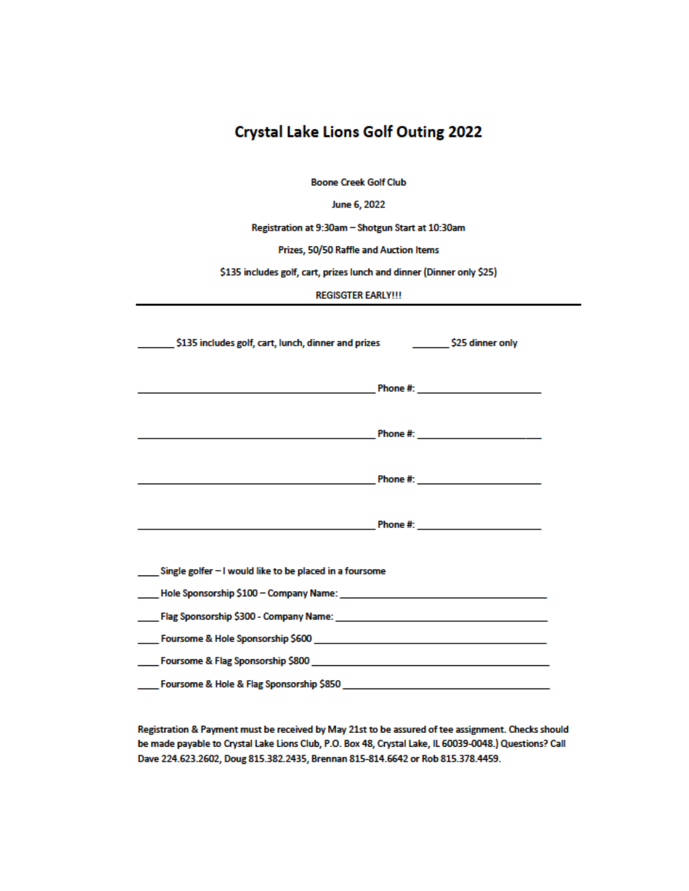| <b>Crystal Lake Lions Golf Outing 2022</b>                                                                                                                                                                                      |  |  |  |
|---------------------------------------------------------------------------------------------------------------------------------------------------------------------------------------------------------------------------------|--|--|--|
|                                                                                                                                                                                                                                 |  |  |  |
| <b>Boone Creek Golf Club</b>                                                                                                                                                                                                    |  |  |  |
| June 6, 2022                                                                                                                                                                                                                    |  |  |  |
| Registration at 9:30am - Shotgun Start at 10:30am                                                                                                                                                                               |  |  |  |
| Prizes, 50/50 Raffle and Auction Items                                                                                                                                                                                          |  |  |  |
| \$135 includes golf, cart, prizes lunch and dinner (Dinner only \$25)                                                                                                                                                           |  |  |  |
| <b>REGISGTER EARLY!!!</b>                                                                                                                                                                                                       |  |  |  |
|                                                                                                                                                                                                                                 |  |  |  |
| _ \$135 includes golf, cart, lunch, dinner and prizes ______________ \$25 dinner only                                                                                                                                           |  |  |  |
|                                                                                                                                                                                                                                 |  |  |  |
|                                                                                                                                                                                                                                 |  |  |  |
|                                                                                                                                                                                                                                 |  |  |  |
| Phone #: _________________________                                                                                                                                                                                              |  |  |  |
|                                                                                                                                                                                                                                 |  |  |  |
| Phone #: http://www.archive.com/                                                                                                                                                                                                |  |  |  |
|                                                                                                                                                                                                                                 |  |  |  |
|                                                                                                                                                                                                                                 |  |  |  |
|                                                                                                                                                                                                                                 |  |  |  |
| ____ Single golfer - I would like to be placed in a foursome                                                                                                                                                                    |  |  |  |
|                                                                                                                                                                                                                                 |  |  |  |
| Elag Sponsorship \$300 - Company Name: Name: Name: Name: Name: Name: Name: Name: Name: Name: Name: Name: Name: N                                                                                                                |  |  |  |
|                                                                                                                                                                                                                                 |  |  |  |
|                                                                                                                                                                                                                                 |  |  |  |
| Foursome & Hole & Flag Sponsorship \$850 Physical Contract of the Contract of the Contract of the Contract of the Contract of the Contract of the Contract of the Contract of the Contract of the Contract of the Contract of t |  |  |  |
|                                                                                                                                                                                                                                 |  |  |  |

Registration & Payment must be received by May 21st to be assured of tee assignment. Checks should be made payable to Crystal Lake Lions Club, P.O. Box 48, Crystal Lake, IL 60039-0048.) Questions? Call Dave 224.623.2602, Doug 815.382.2435, Brennan 815-814.6642 or Rob 815.378.4459.